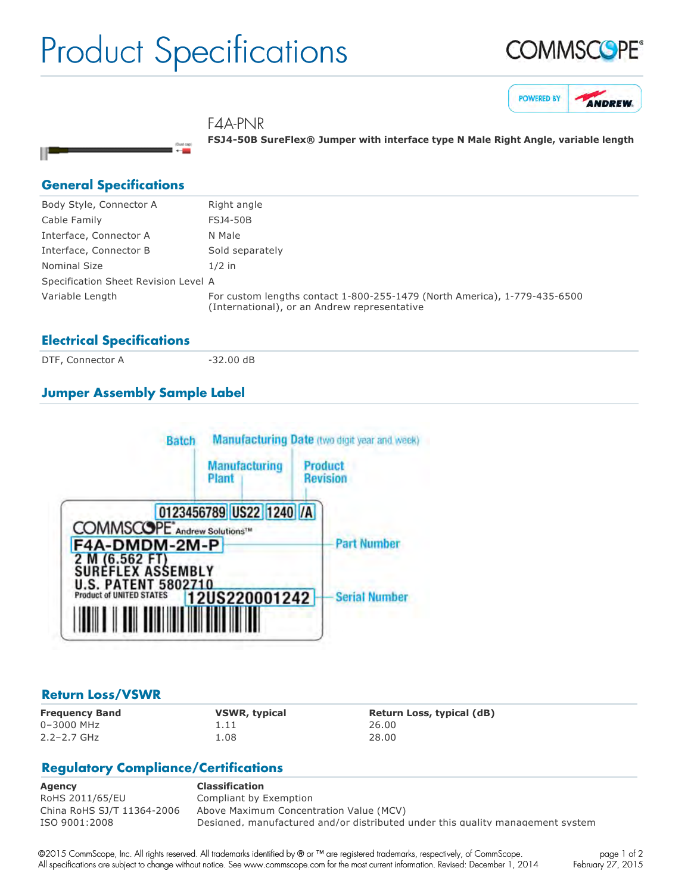## Product Specifications

i0ustos<br>←





F4A-PNR

**FSJ450B SureFlex® Jumper with interface type N Male Right Angle, variable length**

#### **General Specifications**

н

| Body Style, Connector A              | Right angle                                                                                                               |
|--------------------------------------|---------------------------------------------------------------------------------------------------------------------------|
| Cable Family                         | <b>FSJ4-50B</b>                                                                                                           |
| Interface, Connector A               | N Male                                                                                                                    |
| Interface, Connector B               | Sold separately                                                                                                           |
| Nominal Size                         | $1/2$ in                                                                                                                  |
| Specification Sheet Revision Level A |                                                                                                                           |
| Variable Length                      | For custom lengths contact 1-800-255-1479 (North America), 1-779-435-6500<br>(International), or an Andrew representative |

#### **Electrical Specifications**

DTF, Connector A 32.00 dB

### **Jumper Assembly Sample Label**



#### **Return Loss/VSWR**

0–3000 MHz 1.11 26.00 2.2–2.7 GHz 1.08 28.00

**Frequency Band VSWR, typical Return Loss, typical (dB)**

#### **Regulatory Compliance/Certifications**

**Agency Classification** RoHS 2011/65/EU Compliant by Exemption China RoHS SJ/T 11364-2006 Above Maximum Concentration Value (MCV) ISO 9001:2008 Designed, manufactured and/or distributed under this quality management system

©2015 CommScope, Inc. All rights reserved. All trademarks identified by ® or ™ are registered trademarks, respectively, of CommScope. All specifications are subject to change without notice. See www.commscope.com for the most current information. Revised: December 1, 2014